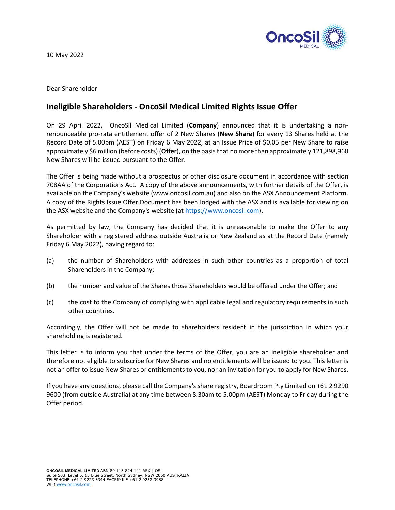

10 May 2022

Dear Shareholder

## **Ineligible Shareholders - OncoSil Medical Limited Rights Issue Offer**

On 29 April 2022, OncoSil Medical Limited (**Company**) announced that it is undertaking a nonrenounceable pro-rata entitlement offer of 2 New Shares (**New Share**) for every 13 Shares held at the Record Date of 5.00pm (AEST) on Friday 6 May 2022, at an Issue Price of \$0.05 per New Share to raise approximately \$6 million (before costs) (**Offer**), on the basis that no more than approximately 121,898,968 New Shares will be issued pursuant to the Offer.

The Offer is being made without a prospectus or other disclosure document in accordance with section 708AA of the Corporations Act. A copy of the above announcements, with further details of the Offer, is available on the Company's website (www.oncosil.com.au) and also on the ASX Announcement Platform. A copy of the Rights Issue Offer Document has been lodged with the ASX and is available for viewing on the ASX website and the Company's website (at [https://www.oncosil.com\)](https://www.oncosil.com/).

As permitted by law, the Company has decided that it is unreasonable to make the Offer to any Shareholder with a registered address outside Australia or New Zealand as at the Record Date (namely Friday 6 May 2022), having regard to:

- (a) the number of Shareholders with addresses in such other countries as a proportion of total Shareholders in the Company;
- (b) the number and value of the Shares those Shareholders would be offered under the Offer; and
- (c) the cost to the Company of complying with applicable legal and regulatory requirements in such other countries.

Accordingly, the Offer will not be made to shareholders resident in the jurisdiction in which your shareholding is registered.

This letter is to inform you that under the terms of the Offer, you are an ineligible shareholder and therefore not eligible to subscribe for New Shares and no entitlements will be issued to you. This letter is not an offer to issue New Shares or entitlements to you, nor an invitation for you to apply for New Shares.

If you have any questions, please call the Company's share registry, Boardroom Pty Limited on +61 2 9290 9600 (from outside Australia) at any time between 8.30am to 5.00pm (AEST) Monday to Friday during the Offer period.